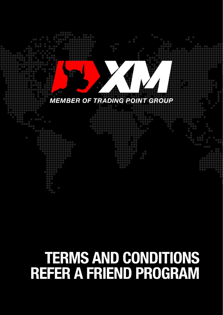

# **TERMS AND CONDITIONS<br>REFER A FRIEND PROGRAM**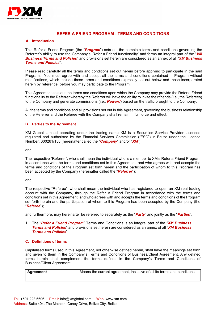

# **REFER A FRIEND PROGRAM - TERMS AND CONDITIONS**

## **A. Introduction**

This Refer a Friend Program (the "*Program*") sets out the complete terms and conditions governing the Referrer's ability to use the Company's 'Refer a Friend functionality' and forms an integral part of the "*XM Business Terms and Policies*" and provisions set herein are considered as an annex of all "*XM Business Terms and Policies*".

Please read carefully all the terms and conditions set out herein before applying to participate in the said Program. You must agree with and accept all the terms and conditions contained in Program without modifications, which include those terms and conditions expressly set out below and those incorporated herein by reference, before you may participate to the Program.

This Agreement sets out the terms and conditions upon which the Company may provide the Refer a Friend functionality to the Referrer whereby the Referrer will have the ability to invite their friends (i.e., the Referees) to the Company and generate commissions (i.e., *Reward*) based on the traffic brought to the Company.

All the terms and conditions and all provisions set out in this Agreement, governing the business relationship of the Referrer and the Referee with the Company shall remain in full force and effect.

# **B. Parties to the Agreement**

XM Global Limited operating under the trading name XM is a Securities Service Provider Licensee regulated and authorised by the Financial Services Commission ("FSC") in Belize under the Licence Number: 000261/158 (hereinafter called the "*Company*" and/or "*XM*");

and

The respective "Referrer", who shall mean the individual who is a member to XM's Refer a Friend Program in accordance with the terms and conditions set in this Agreement, and who agrees with and accepts the terms and conditions of the Program set forth herein and the participation of whom to this Program has been accepted by the Company (hereinafter called the "*Referrer*");

and

The respective "Referee", who shall mean the individual who has registered to open an XM real trading account with the Company, through the Refer A Friend Program in accordance with the terms and conditions set in this Agreement, and who agrees with and accepts the terms and conditions of the Program set forth herein and the participation of whom to this Program has been accepted by the Company (the "*Referee*");

and furthermore, may hereinafter be referred to separately as the "*Party*" and jointly as the "*Parties*".

1. The "*Refer a Friend Program*" Terms and Conditions is an integral part of the "*XM Business Terms and Policies*" and provisions set herein are considered as an annex of all "*XM Business Terms and Policies*".

### **C. Definitions of terms**

Capitalised terms used in this Agreement, not otherwise defined herein, shall have the meanings set forth and given to them in the Company's Terms and Conditions of Business/Client Agreement. Any defined terms herein shall complement the terms defined in the Company's Terms and Conditions of Business/Client Agreement.

| <b>Agreement</b> | Means the current agreement, inclusive of all its terms and conditions. |
|------------------|-------------------------------------------------------------------------|
|                  |                                                                         |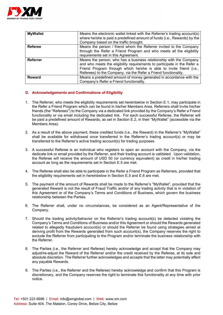

| <b>MyWallet</b> | Means the electronic wallet linked with the Referrer's trading account(s)<br>where he/she is paid a predefined amount of funds (i.e., Rewards) by the<br>Company based on the traffic brought. |
|-----------------|------------------------------------------------------------------------------------------------------------------------------------------------------------------------------------------------|
|                 |                                                                                                                                                                                                |
| <b>Referee</b>  | Means the person / friend whom the Referrer invited to the Company                                                                                                                             |
|                 | through the Refer a Friend Program and who meets all the eligibility                                                                                                                           |
|                 | requirements set in this Agreement.                                                                                                                                                            |
| <b>Referrer</b> | Means the person, who has a business relationship with the Company<br>and who meets the eligibility requirements to participate in the Refer a                                                 |
|                 | Friend Program through which he/she is able to invite friend (i.e.,                                                                                                                            |
|                 | Referees) to the Company, via the Refer a Friend functionality.                                                                                                                                |
| <b>Reward</b>   | Means a predefined amount of money generated in accordance with the                                                                                                                            |
|                 | Company's Refer a Friend functionality.                                                                                                                                                        |

# **D. Acknowledgements and Confirmations of Eligibility**

- 1. The Referrer, who meets the eligibility requirements set hereinbelow in Section E.1, may participate in the Refer a Friend Program which can be found in his/her Members Area. Referrers shall invite his/her friends (the "Referees") to the Company via a dedicated link provided by the Company's Refer a Friend functionality or via email including the dedicated link. For each successful Referee, the Referrer will be paid a predefined amount of Rewards, as set in Section E.2, in their "MyWallet" (accessible via the Members Area).
- 2. As a result of the above payment, these credited funds (i.e., the Reward) in the Referrer's "MyWallet" shall be available for withdrawal once transferred in the Referrer's trading account(s) or may be transferred to the Referrer's active trading account(s) for trading purposes.
- 3. A successful Referee is an individual who registers to open an account with the Company, via the dedicate link or email provided by the Referrer, and their trading account is validated. Upon validation, the Referee will receive the amount of USD 50 (or currency equivalent) as credit in his/her trading account as long as the requirements set in Section E.5 are met.
- 4. The Referee shall also be able to participate in the Refer a Friend Program as Referrers, provided that the eligibility requirements set in hereinbelow in Section E.5 and E.6 are met.
- 5. The payment of the amount of Rewards shall be made to the Referrer's "MyWallet", provided that the generated Reward is not the result of Fraud Traffic and/or of any trading activity that is in violation of this Agreement or of the Company's Terms and Conditions of Business, which govern the business relationship between the Parties.
- 6. The Referrer shall, under no circumstances, be considered as an Agent/Representative of the Company.
- 7. Should the trading activity/behavior on the Referrer's trading account(s) be detected violating the Company's Terms and Conditions of Business and/or this Agreement or should the Rewards generated related to allegedly fraudulent account(s) or should the Referrer be found using strategies aimed at deriving profit from the Rewards generated from such account(s), the Company reserves the right to exclude the Referrer from participating to the Program and/or terminate the business relationship with the Referrer.
- 8. The Parties (i.e., the Referrer and Referee) hereby acknowledge and accept that the Company may adjust/re-adjust the Reward of the Referrer and/or the credit received by the Referee, at its sole and absolute discretion. The Referrer further acknowledges and accepts that the latter may potentially affect any payable Rewards.
- 9. The Parties (i.e., the Referrer and the Referee) hereby acknowledge and confirm that this Program is discretionary, and the Company reserves the right to terminate this functionality at any time with prior notice.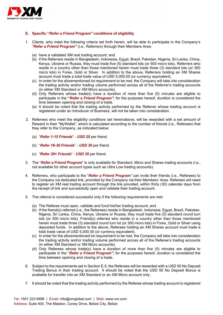

# **E. Specific "***Refer a Friend Program"* **conditions of eligibility**

- 1. Clients, who meet the following criteria set forth herein, will be able to participate in the Company's "*Refer a Friend Program"* (i.e., Referrers) through their Members Area:
	- (a) have a validated XM real trading account; and
	- (b) if the Referrers reside in Bangladesh, Indonesia, Egypt, Brazil, Pakistan, Nigeria, Sri Lanka, China, Kenya, Ukraine or Russia, they must trade five (5) standard lots (or 500 micro lots). Referrers who reside in a country other than those mentioned herein must trade three (3) standard lots (or 300 micro lots) in Forex, Gold or Silver. In addition to the above, Referrers holding an XM Shares account must trade a total trade value of USD 5,000.00 (or currency equivalent).
	- (c) In order for the aforementioned lot requirement to be met, the Company will take into consideration the trading activity and/or trading volume performed across all of the Referrer's trading accounts (in either XM Standard or XM Micro accounts).
	- (d) Only Referrers whose trade(s) have a duration of more than five (5) minutes are eligible to participate in the **"***Refer a Friend Program"*; for the purposes hereof, duration is considered the time between opening and closing of a trade.
	- (e) It should be noted that the trading activity performed by the Referrer whose trading account is registered under an Introducer of Business, will not be taken into consideration.
- 2. Referrers who meet the eligibility conditions set hereinabove, will be rewarded with a set amount of Reward in their "MyWallet", which is calculated according to the number of friends (i.e., Referees) that they refer to the Company, as indicated below:
	- (a) "*Refer 1-15 Friends*" *USD 25* per friend.
	- (b) "*Refer 16-30 Friends*" *USD 30* per friend.
	- (c) *"Refer 30+ Friends*" *USD 35* per friend.
- 3. The "*Refer a Friend Program*" is only available for Standard, Micro and Shares trading accounts (i.e., not available for other account types such as Ultra Low trading accounts).
- 4. Referrers, who participate to the "*Refer a Friend Program"* can invite their friends (i.e., Referees) to the Company via dedicated link, provided by the Company via their Members' Area. Referees will need to register an XM real trading account through the link provided, within thirty (30) calendar days from the receipt of link and successfully open and validate their trading account.
- 5. The referral is considered successful only if the following requirements are met:
	- (a) The Referee must open, validate and fund his/her trading account; and
	- (b) If the friend(s) referred (i.e., the Referees) reside in Bangladesh, Indonesia, Egypt, Brazil, Pakistan, Nigeria, Sri Lanka, China, Kenya, Ukraine or Russia, they must trade five (5) standard round turn lots (or 500 micro lots). Friend(s) referred who reside in a country other than those mentioned herein must trade three (3) standard round turn lot (or 300 micro lots) in Forex, Gold or Silver using deposited funds. In addition to the above, Referees holding an XM Shares account must trade a total trade value of USD 5,000.00 (or currency equivalent).
	- (c) In order for the aforementioned lot requirement to be met, the Company will take into consideration the trading activity and/or trading volume performed across all of the Referee's trading accounts (in either XM Standard or XM Micro accounts).
	- (d) Only Referees whose trade(s) have a duration of more than five (5) minutes are eligible to participate in the "*Refer a Friend Program"*; for the purposes hereof, duration is considered the time between opening and closing of a trade.
- 6. Subject to the requirements set in Section E.5, the Referees will be rewarded with a USD 50 No Deposit Trading Bonus in their trading account. It should be noted that the USD 50 No Deposit Bonus is available for transfer into an XM Standard or an XM Micro account only.
- 7. It should be noted that the trading activity performed by the Referee whose trading account is registered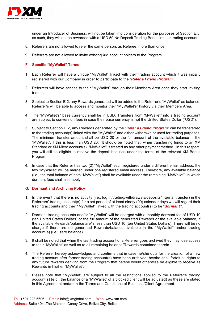

under an Introducer of Business, will not be taken into consideration for the purposes of Section E.5; as such, they will not be rewarded with a USD 50 No Deposit Trading Bonus in their trading account.

- 8. Referrers are not allowed to refer the same person, as Referee, more than once.
- 9. Referrers are not allowed to invite existing XM account holders to the Program.

# **F. Specific "MyWallet" Terms**

- 1. Each Referrer will have a unique "MyWallet" linked with their trading account which it was initially registered with our Company in order to participate to the "*Refer a Friend Program".*
- 2. Referrers will have access to their "MyWallet" through their Members Area once they start inviting friends.
- 3. Subject to Section E.2, any Rewards generated will be added to the Referrer's "MyWallet" as balance. Referrer's will be able to access and monitor their "MyWallet's" history via their Members Area.
- 4. The "MyWallet's" base currency shall be in USD. Transfers from "MyWallet" into a trading account are subject to conversion fees in case their base currency is not the United States Dollar ("USD").
- 5. Subject to Section D.2, any Rewards generated by the "*Refer a Friend Program"* can be transferred to the trading account(s) linked with the "MyWallet" and either withdrawn or used for trading purposes. The minimum transfer amount shall be USD 20 or the full amount of the available balance in the "MyWallet", if this is less than USD 20. It should be noted that, when transferring funds to an XM Standard or XM Micro account(s), "MyWallet" is treated as any other payment method. In this respect, you will still be eligible to receive the deposit bonuses under the terms of the relevant XM Bonus Program.
- 6. In case that the Referrer has two (2) "MyWallet" each registered under a different email address, the two "MyWallet" will be merged under one registered email address. Therefore, any available balance (i.e., the total balance of both "MyWallet") shall be available under the remaining "MyWallet", in which dormant fees shall also apply.

### **G. Dormant and Archiving Policy**

- 1. In the event that there is no activity (i.e., log in/trading/withdrawals/deposits/internal transfer) in the Referrers' trading account(s) for a set period of at least ninety (90) calendar days we will regard their trading accounts and their "MyWallet" linked with the trading account(s) to be "*dormant"*.
- 2. Dormant trading accounts and/or "MyWallet" will be charged with a monthly dormant fee of USD 10 (ten United States Dollars) or the full amount of the generated Rewards or the available balance, if the available Rewards/balance are/is less than USD 10 (ten United States Dollars). There will be no charge if there are no generated Rewards/balance available in the "MyWallet" and/or trading account(s) (i.e., zero balance).
- 3. It shall be noted that when the last trading account of a Referrer goes archived they may lose access to their "MyWallet" as well as to all remaining balance/Rewards contained therein.
- 4. The Referrer hereby acknowledges and confirms that in case he/she opts for the creation of a new trading account after former trading account(s) have been archived, he/she shall forfeit all rights to any future rewards deriving from the Program that he/she would otherwise be eligible to receive as Rewards in his/her "MyWallet".
- 5. Please note that "MyWallet" are subject to all the restrictions applied to the Referrer's trading account(s) (e.g., the balance of a "MyWallet" of a blocked client will be adjusted) as these are stated in this Agreement and/or in the Terms and Conditions of Business/Client Agreement.